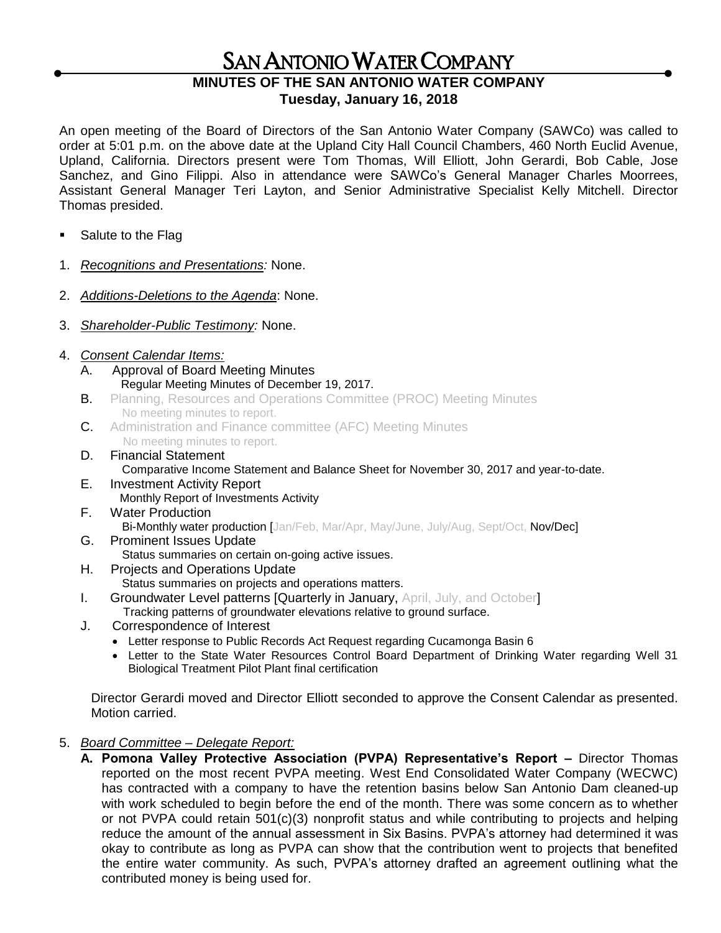## SAN ANTONIO WATER COMPANY

## **MINUTES OF THE SAN ANTONIO WATER COMPANY Tuesday, January 16, 2018**

An open meeting of the Board of Directors of the San Antonio Water Company (SAWCo) was called to order at 5:01 p.m. on the above date at the Upland City Hall Council Chambers, 460 North Euclid Avenue, Upland, California. Directors present were Tom Thomas, Will Elliott, John Gerardi, Bob Cable, Jose Sanchez, and Gino Filippi. Also in attendance were SAWCo's General Manager Charles Moorrees, Assistant General Manager Teri Layton, and Senior Administrative Specialist Kelly Mitchell. Director Thomas presided.

- Salute to the Flag
- 1. *Recognitions and Presentations:* None.
- 2. *Additions-Deletions to the Agenda*: None.
- 3. *Shareholder-Public Testimony:* None.
- 4. *Consent Calendar Items:*
	- Approval of Board Meeting Minutes Regular Meeting Minutes of December 19, 2017.
	- **B.** Planning, Resources and Operations Committee (PROC) Meeting Minutes No meeting minutes to report.
	- C. Administration and Finance committee (AFC) Meeting Minutes No meeting minutes to report.
	- D. Financial Statement Comparative Income Statement and Balance Sheet for November 30, 2017 and year-to-date.
	- E. Investment Activity Report Monthly Report of Investments Activity
	- F. Water Production Bi-Monthly water production [Jan/Feb, Mar/Apr, May/June, July/Aug, Sept/Oct, Nov/Dec]
	- G. Prominent Issues Update Status summaries on certain on-going active issues.
	- H. Projects and Operations Update Status summaries on projects and operations matters.
	- **I.** Groundwater Level patterns [Quarterly in January, April, July, and October]
		- Tracking patterns of groundwater elevations relative to ground surface.
	- J. Correspondence of Interest
		- Letter response to Public Records Act Request regarding Cucamonga Basin 6
		- Letter to the State Water Resources Control Board Department of Drinking Water regarding Well 31 Biological Treatment Pilot Plant final certification

Director Gerardi moved and Director Elliott seconded to approve the Consent Calendar as presented. Motion carried.

## 5. *Board Committee – Delegate Report:*

**A. Pomona Valley Protective Association (PVPA) Representative's Report –** Director Thomas reported on the most recent PVPA meeting. West End Consolidated Water Company (WECWC) has contracted with a company to have the retention basins below San Antonio Dam cleaned-up with work scheduled to begin before the end of the month. There was some concern as to whether or not PVPA could retain 501(c)(3) nonprofit status and while contributing to projects and helping reduce the amount of the annual assessment in Six Basins. PVPA's attorney had determined it was okay to contribute as long as PVPA can show that the contribution went to projects that benefited the entire water community. As such, PVPA's attorney drafted an agreement outlining what the contributed money is being used for.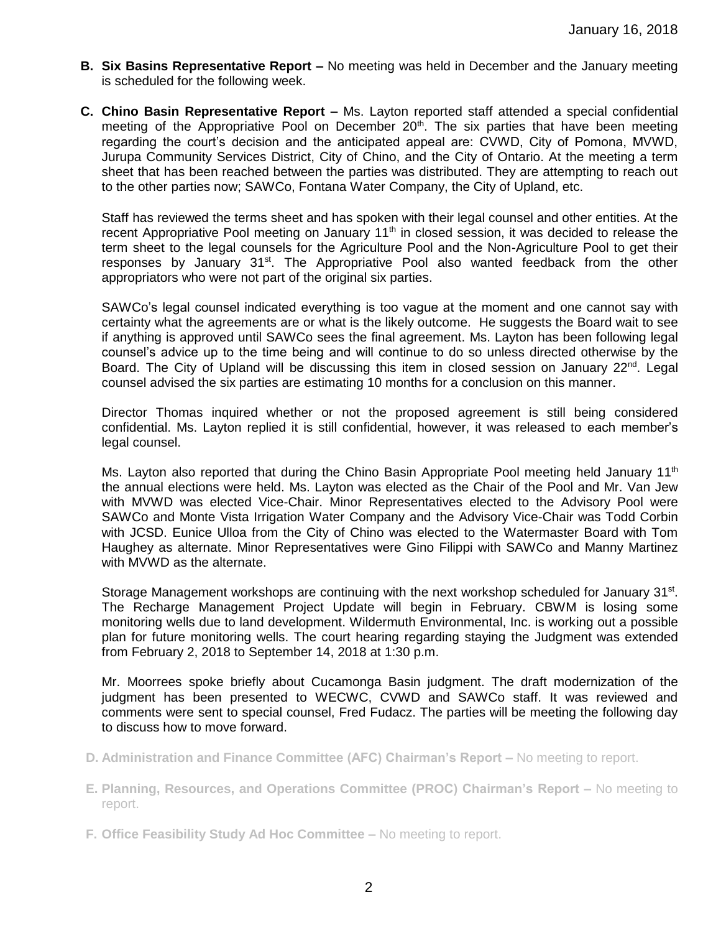- **B. Six Basins Representative Report –** No meeting was held in December and the January meeting is scheduled for the following week.
- **C. Chino Basin Representative Report –** Ms. Layton reported staff attended a special confidential meeting of the Appropriative Pool on December  $20<sup>th</sup>$ . The six parties that have been meeting regarding the court's decision and the anticipated appeal are: CVWD, City of Pomona, MVWD, Jurupa Community Services District, City of Chino, and the City of Ontario. At the meeting a term sheet that has been reached between the parties was distributed. They are attempting to reach out to the other parties now; SAWCo, Fontana Water Company, the City of Upland, etc.

Staff has reviewed the terms sheet and has spoken with their legal counsel and other entities. At the recent Appropriative Pool meeting on January  $11<sup>th</sup>$  in closed session, it was decided to release the term sheet to the legal counsels for the Agriculture Pool and the Non-Agriculture Pool to get their responses by January 31<sup>st</sup>. The Appropriative Pool also wanted feedback from the other appropriators who were not part of the original six parties.

SAWCo's legal counsel indicated everything is too vague at the moment and one cannot say with certainty what the agreements are or what is the likely outcome. He suggests the Board wait to see if anything is approved until SAWCo sees the final agreement. Ms. Layton has been following legal counsel's advice up to the time being and will continue to do so unless directed otherwise by the Board. The City of Upland will be discussing this item in closed session on January  $22^{\text{nd}}$ . Legal counsel advised the six parties are estimating 10 months for a conclusion on this manner.

Director Thomas inquired whether or not the proposed agreement is still being considered confidential. Ms. Layton replied it is still confidential, however, it was released to each member's legal counsel.

Ms. Layton also reported that during the Chino Basin Appropriate Pool meeting held January 11<sup>th</sup> the annual elections were held. Ms. Layton was elected as the Chair of the Pool and Mr. Van Jew with MVWD was elected Vice-Chair. Minor Representatives elected to the Advisory Pool were SAWCo and Monte Vista Irrigation Water Company and the Advisory Vice-Chair was Todd Corbin with JCSD. Eunice Ulloa from the City of Chino was elected to the Watermaster Board with Tom Haughey as alternate. Minor Representatives were Gino Filippi with SAWCo and Manny Martinez with MVWD as the alternate.

Storage Management workshops are continuing with the next workshop scheduled for January 31<sup>st</sup>. The Recharge Management Project Update will begin in February. CBWM is losing some monitoring wells due to land development. Wildermuth Environmental, Inc. is working out a possible plan for future monitoring wells. The court hearing regarding staying the Judgment was extended from February 2, 2018 to September 14, 2018 at 1:30 p.m.

Mr. Moorrees spoke briefly about Cucamonga Basin judgment. The draft modernization of the judgment has been presented to WECWC, CVWD and SAWCo staff. It was reviewed and comments were sent to special counsel, Fred Fudacz. The parties will be meeting the following day to discuss how to move forward.

- **D. Administration and Finance Committee (AFC) Chairman's Report –** No meeting to report.
- **E. Planning, Resources, and Operations Committee (PROC) Chairman's Report –** No meeting to report.
- **F. Office Feasibility Study Ad Hoc Committee –** No meeting to report.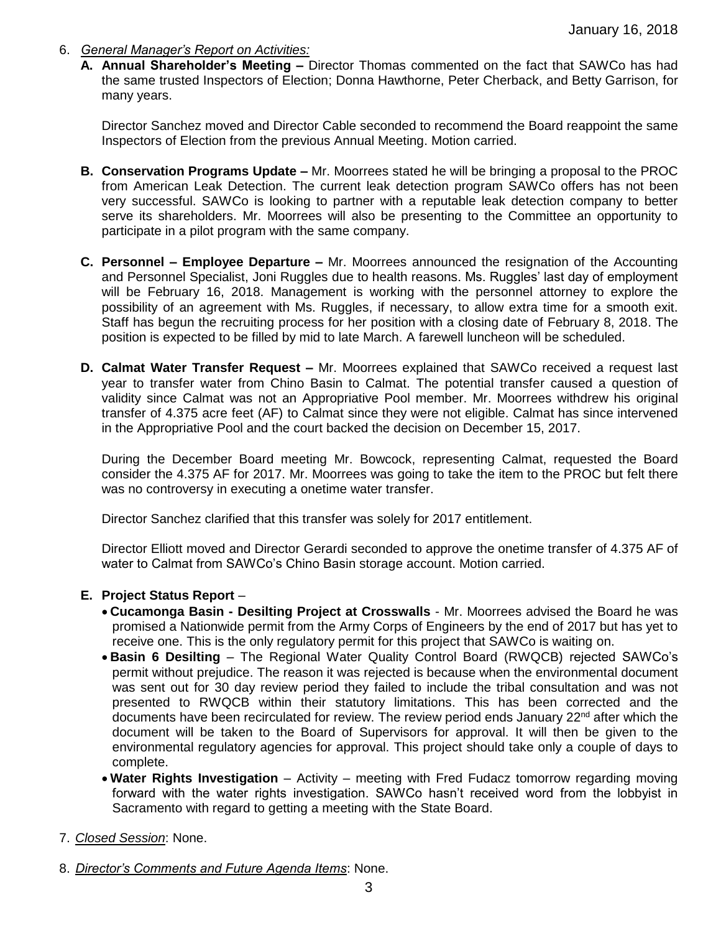- 6. *General Manager's Report on Activities:*
	- **A. Annual Shareholder's Meeting –** Director Thomas commented on the fact that SAWCo has had the same trusted Inspectors of Election; Donna Hawthorne, Peter Cherback, and Betty Garrison, for many years.

Director Sanchez moved and Director Cable seconded to recommend the Board reappoint the same Inspectors of Election from the previous Annual Meeting. Motion carried.

- **B. Conservation Programs Update –** Mr. Moorrees stated he will be bringing a proposal to the PROC from American Leak Detection. The current leak detection program SAWCo offers has not been very successful. SAWCo is looking to partner with a reputable leak detection company to better serve its shareholders. Mr. Moorrees will also be presenting to the Committee an opportunity to participate in a pilot program with the same company.
- **C. Personnel – Employee Departure –** Mr. Moorrees announced the resignation of the Accounting and Personnel Specialist, Joni Ruggles due to health reasons. Ms. Ruggles' last day of employment will be February 16, 2018. Management is working with the personnel attorney to explore the possibility of an agreement with Ms. Ruggles, if necessary, to allow extra time for a smooth exit. Staff has begun the recruiting process for her position with a closing date of February 8, 2018. The position is expected to be filled by mid to late March. A farewell luncheon will be scheduled.
- **D. Calmat Water Transfer Request –** Mr. Moorrees explained that SAWCo received a request last year to transfer water from Chino Basin to Calmat. The potential transfer caused a question of validity since Calmat was not an Appropriative Pool member. Mr. Moorrees withdrew his original transfer of 4.375 acre feet (AF) to Calmat since they were not eligible. Calmat has since intervened in the Appropriative Pool and the court backed the decision on December 15, 2017.

During the December Board meeting Mr. Bowcock, representing Calmat, requested the Board consider the 4.375 AF for 2017. Mr. Moorrees was going to take the item to the PROC but felt there was no controversy in executing a onetime water transfer.

Director Sanchez clarified that this transfer was solely for 2017 entitlement.

Director Elliott moved and Director Gerardi seconded to approve the onetime transfer of 4.375 AF of water to Calmat from SAWCo's Chino Basin storage account. Motion carried.

## **E. Project Status Report** –

- **Cucamonga Basin - Desilting Project at Crosswalls** Mr. Moorrees advised the Board he was promised a Nationwide permit from the Army Corps of Engineers by the end of 2017 but has yet to receive one. This is the only regulatory permit for this project that SAWCo is waiting on.
- **Basin 6 Desilting**  The Regional Water Quality Control Board (RWQCB) rejected SAWCo's permit without prejudice. The reason it was rejected is because when the environmental document was sent out for 30 day review period they failed to include the tribal consultation and was not presented to RWQCB within their statutory limitations. This has been corrected and the documents have been recirculated for review. The review period ends January  $22<sup>nd</sup>$  after which the document will be taken to the Board of Supervisors for approval. It will then be given to the environmental regulatory agencies for approval. This project should take only a couple of days to complete.
- Water Rights Investigation Activity meeting with Fred Fudacz tomorrow regarding moving forward with the water rights investigation. SAWCo hasn't received word from the lobbyist in Sacramento with regard to getting a meeting with the State Board.
- 7. *Closed Session*: None.
- 8. *Director's Comments and Future Agenda Items*: None.